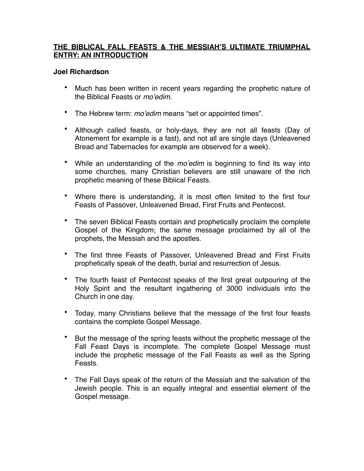#### **THE BIBLICAL FALL FEASTS & THE MESSIAH'S ULTIMATE TRIUMPHAL ENTRY: AN INTRODUCTION**

#### **Joel Richardson**

- Much has been written in recent years regarding the prophetic nature of the Biblical Feasts or *mo'edim*.
- The Hebrew term: *mo'edim* means "set or appointed times".
- Although called feasts, or holy-days, they are not all feasts (Day of Atonement for example is a fast), and not all are single days (Unleavened Bread and Tabernacles for example are observed for a week).
- While an understanding of the *mo'edim* is beginning to find its way into some churches, many Christian believers are still unaware of the rich prophetic meaning of these Biblical Feasts.
- Where there is understanding, it is most often limited to the first four Feasts of Passover, Unleavened Bread, First Fruits and Pentecost.
- The seven Biblical Feasts contain and prophetically proclaim the complete Gospel of the Kingdom; the same message proclaimed by all of the prophets, the Messiah and the apostles.
- The first three Feasts of Passover, Unleavened Bread and First Fruits prophetically speak of the death, burial and resurrection of Jesus.
- The fourth feast of Pentecost speaks of the first great outpouring of the Holy Spirit and the resultant ingathering of 3000 individuals into the Church in one day.
- Today, many Christians believe that the message of the first four feasts contains the complete Gospel Message.
- But the message of the spring feasts without the prophetic message of the Fall Feast Days is incomplete. The complete Gospel Message must include the prophetic message of the Fall Feasts as well as the Spring Feasts.
- The Fall Days speak of the return of the Messiah and the salvation of the Jewish people. This is an equally integral and essential element of the Gospel message.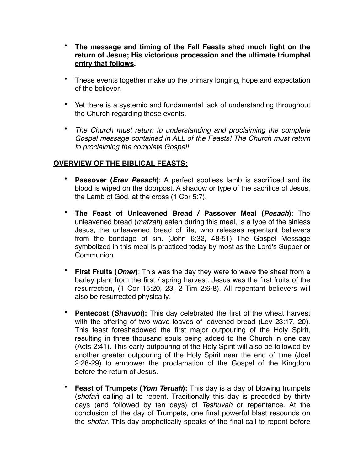- **The message and timing of the Fall Feasts shed much light on the return of Jesus; His victorious procession and the ultimate triumphal entry that follows.**
- These events together make up the primary longing, hope and expectation of the believer.
- Yet there is a systemic and fundamental lack of understanding throughout the Church regarding these events.
- *The Church must return to understanding and proclaiming the complete Gospel message contained in ALL of the Feasts! The Church must return to proclaiming the complete Gospel!*

## **OVERVIEW OF THE BIBLICAL FEASTS:**

- **Passover (***Erev Pesach***)**: A perfect spotless lamb is sacrificed and its blood is wiped on the doorpost. A shadow or type of the sacrifice of Jesus, the Lamb of God, at the cross (1 Cor 5:7).
- **The Feast of Unleavened Bread / Passover Meal (***Pesach***)**: The unleavened bread (*matzah*) eaten during this meal, is a type of the sinless Jesus, the unleavened bread of life, who releases repentant believers from the bondage of sin. (John 6:32, 48-51) The Gospel Message symbolized in this meal is practiced today by most as the Lord's Supper or Communion.
- **First Fruits (***Omer***)**: This was the day they were to wave the sheaf from a barley plant from the first / spring harvest. Jesus was the first fruits of the resurrection, (1 Cor 15:20, 23, 2 Tim 2:6-8). All repentant believers will also be resurrected physically.
- **Pentecost (***Shavuot***):** This day celebrated the first of the wheat harvest with the offering of two wave loaves of leavened bread (Lev 23:17, 20). This feast foreshadowed the first major outpouring of the Holy Spirit, resulting in three thousand souls being added to the Church in one day (Acts 2:41). This early outpouring of the Holy Spirit will also be followed by another greater outpouring of the Holy Spirit near the end of time (Joel 2:28-29) to empower the proclamation of the Gospel of the Kingdom before the return of Jesus.
- **Feast of Trumpets (***Yom Teruah***):** This day is a day of blowing trumpets (*shofar*) calling all to repent. Traditionally this day is preceded by thirty days (and followed by ten days) of *Teshuvah* or repentance. At the conclusion of the day of Trumpets, one final powerful blast resounds on the *shofar*. This day prophetically speaks of the final call to repent before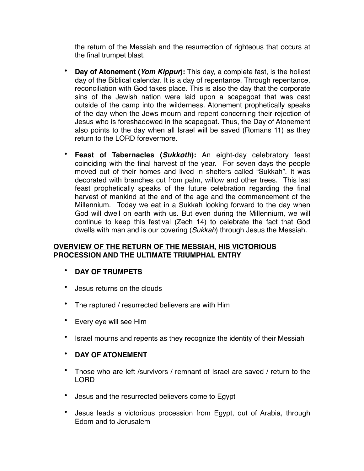the return of the Messiah and the resurrection of righteous that occurs at the final trumpet blast.

- **Day of Atonement (***Yom Kippur***):** This day, a complete fast, is the holiest day of the Biblical calendar. It is a day of repentance. Through repentance, reconciliation with God takes place. This is also the day that the corporate sins of the Jewish nation were laid upon a scapegoat that was cast outside of the camp into the wilderness. Atonement prophetically speaks of the day when the Jews mourn and repent concerning their rejection of Jesus who is foreshadowed in the scapegoat. Thus, the Day of Atonement also points to the day when all Israel will be saved (Romans 11) as they return to the LORD forevermore.
- **Feast of Tabernacles (***Sukkoth***):** An eight-day celebratory feast coinciding with the final harvest of the year. For seven days the people moved out of their homes and lived in shelters called "Sukkah". It was decorated with branches cut from palm, willow and other trees. This last feast prophetically speaks of the future celebration regarding the final harvest of mankind at the end of the age and the commencement of the Millennium. Today we eat in a Sukkah looking forward to the day when God will dwell on earth with us. But even during the Millennium, we will continue to keep this festival (Zech 14) to celebrate the fact that God dwells with man and is our covering (*Sukkah*) through Jesus the Messiah.

### **OVERVIEW OF THE RETURN OF THE MESSIAH, HIS VICTORIOUS PROCESSION AND THE ULTIMATE TRIUMPHAL ENTRY**

- **DAY OF TRUMPETS**
- Jesus returns on the clouds
- The raptured / resurrected believers are with Him
- Every eye will see Him
- Israel mourns and repents as they recognize the identity of their Messiah

## • **DAY OF ATONEMENT**

- Those who are left /survivors / remnant of Israel are saved / return to the LORD
- Jesus and the resurrected believers come to Egypt
- Jesus leads a victorious procession from Egypt, out of Arabia, through Edom and to Jerusalem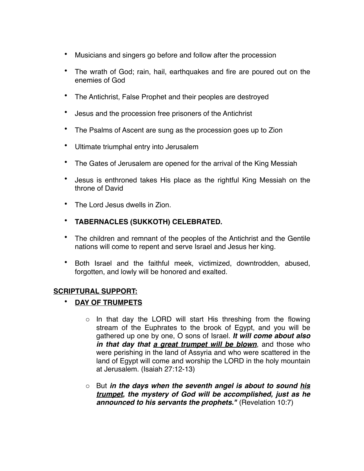- Musicians and singers go before and follow after the procession
- The wrath of God; rain, hail, earthquakes and fire are poured out on the enemies of God
- The Antichrist, False Prophet and their peoples are destroyed
- Jesus and the procession free prisoners of the Antichrist
- The Psalms of Ascent are sung as the procession goes up to Zion
- Ultimate triumphal entry into Jerusalem
- The Gates of Jerusalem are opened for the arrival of the King Messiah
- Jesus is enthroned takes His place as the rightful King Messiah on the throne of David
- The Lord Jesus dwells in Zion.
- **TABERNACLES (SUKKOTH) CELEBRATED.**
- The children and remnant of the peoples of the Antichrist and the Gentile nations will come to repent and serve Israel and Jesus her king.
- Both Israel and the faithful meek, victimized, downtrodden, abused, forgotten, and lowly will be honored and exalted.

#### **SCRIPTURAL SUPPORT:**

- **DAY OF TRUMPETS**
	- $\circ$  In that day the LORD will start His threshing from the flowing stream of the Euphrates to the brook of Egypt, and you will be gathered up one by one, O sons of Israel. *It will come about also in that day that a great trumpet will be blown*, and those who were perishing in the land of Assyria and who were scattered in the land of Egypt will come and worship the LORD in the holy mountain at Jerusalem. (Isaiah 27:12-13)
	- o But *in the days when the seventh angel is about to sound his trumpet, the mystery of God will be accomplished, just as he announced to his servants the prophets."* (Revelation 10:7)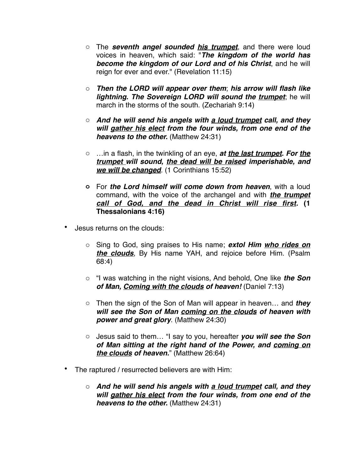- o The *seventh angel sounded his trumpet*, and there were loud voices in heaven, which said: "*The kingdom of the world has become the kingdom of our Lord and of his Christ*, and he will reign for ever and ever." (Revelation 11:15)
- o *Then the LORD will appear over them*; *his arrow will flash like lightning. The Sovereign LORD will sound the trumpet*; he will march in the storms of the south. (Zechariah 9:14)
- o *And he will send his angels with a loud trumpet call, and they will gather his elect from the four winds, from one end of the heavens to the other.* (Matthew 24:31)
- o …in a flash, in the twinkling of an eye, *at the last trumpet. For the trumpet will sound, the dead will be raised imperishable, and we will be changed*. (1 Corinthians 15:52)
- **o** For *the Lord himself will come down from heaven*, with a loud command, with the voice of the archangel and with *the trumpet call of God, and the dead in Christ will rise first.* **(1 Thessalonians 4:16)**
- Jesus returns on the clouds:
	- o Sing to God, sing praises to His name; *extol Him who rides on the clouds*, By His name YAH, and rejoice before Him. (Psalm 68:4)
	- o "I was watching in the night visions, And behold, One like *the Son of Man, Coming with the clouds of heaven!* (Daniel 7:13)
	- o Then the sign of the Son of Man will appear in heaven… and *they will see the Son of Man coming on the clouds of heaven with power and great glory*. (Matthew 24:30)
	- o Jesus said to them… "I say to you, hereafter *you will see the Son of Man sitting at the right hand of the Power, and coming on the clouds of heaven.*" (Matthew 26:64)
- The raptured / resurrected believers are with Him:
	- o *And he will send his angels with a loud trumpet call, and they will gather his elect from the four winds, from one end of the heavens to the other.* (Matthew 24:31)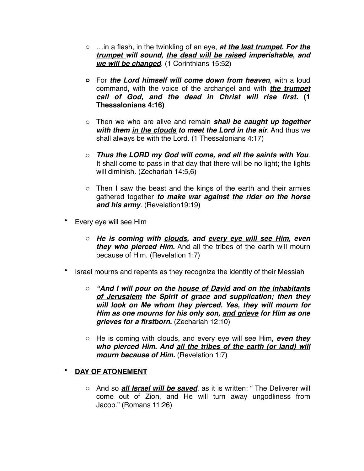- o …in a flash, in the twinkling of an eye, *at the last trumpet. For the trumpet will sound, the dead will be raised imperishable, and we will be changed*. (1 Corinthians 15:52)
- **o** For *the Lord himself will come down from heaven*, with a loud command, with the voice of the archangel and with *the trumpet call of God, and the dead in Christ will rise first.* **(1 Thessalonians 4:16)**
- o Then we who are alive and remain *shall be caught up together with them in the clouds to meet the Lord in the air*. And thus we shall always be with the Lord. (1 Thessalonians 4:17)
- o *Thus the LORD my God will come, and all the saints with You*. It shall come to pass in that day that there will be no light; the lights will diminish. (Zechariah 14:5,6)
- $\circ$  Then I saw the beast and the kings of the earth and their armies gathered together *to make war against the rider on the horse and his army*. (Revelation19:19)
- Every eye will see Him
	- o *He is coming with clouds, and every eye will see Him, even they who pierced Him.* And all the tribes of the earth will mourn because of Him. (Revelation 1:7)
- Israel mourns and repents as they recognize the identity of their Messiah
	- o *"And I will pour on the house of David and on the inhabitants of Jerusalem the Spirit of grace and supplication; then they will look on Me whom they pierced. Yes, they will mourn for Him as one mourns for his only son, and grieve for Him as one grieves for a firstborn.* (Zechariah 12:10)
	- o He is coming with clouds, and every eye will see Him, *even they who pierced Him. And all the tribes of the earth (or land) will mourn because of Him.* (Revelation 1:7)

# • **DAY OF ATONEMENT**

o And so *all Israel will be saved*, as it is written: " The Deliverer will come out of Zion, and He will turn away ungodliness from Jacob." (Romans 11:26)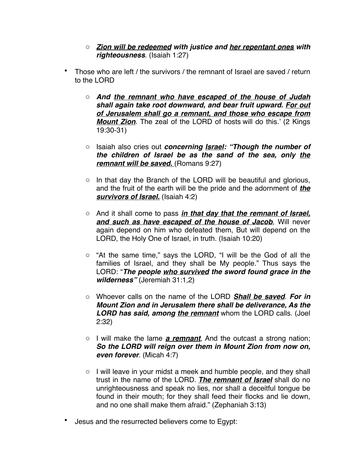- o *Zion will be redeemed with justice and her repentant ones with righteousness*. (Isaiah 1:27)
- Those who are left / the survivors / the remnant of Israel are saved / return to the LORD
	- o *And the remnant who have escaped of the house of Judah shall again take root downward, and bear fruit upward. For out of Jerusalem shall go a remnant, and those who escape from Mount Zion*. The zeal of the LORD of hosts will do this.' (2 Kings 19:30-31)
	- o Isaiah also cries out *concerning Israel: "Though the number of the children of Israel be as the sand of the sea, only the remnant will be saved.* (Romans 9:27)
	- o In that day the Branch of the LORD will be beautiful and glorious, and the fruit of the earth will be the pride and the adornment of *the survivors of Israel.* (Isaiah 4:2)
	- o And it shall come to pass *in that day that the remnant of Israel, and such as have escaped of the house of Jacob*, Will never again depend on him who defeated them, But will depend on the LORD, the Holy One of Israel, in truth. (Isaiah 10:20)
	- o "At the same time," says the LORD, "I will be the God of all the families of Israel, and they shall be My people." Thus says the LORD: "*The people who survived the sword found grace in the wilderness"* (Jeremiah 31:1,2)
	- o Whoever calls on the name of the LORD *Shall be saved*. *For in Mount Zion and in Jerusalem there shall be deliverance, As the LORD has said, among the remnant* whom the LORD calls. (Joel 2:32)
	- o I will make the lame *a remnant*, And the outcast a strong nation; *So the LORD will reign over them in Mount Zion from now on, even forever*. (Micah 4:7)
	- o I will leave in your midst a meek and humble people, and they shall trust in the name of the LORD. *The remnant of Israel* shall do no unrighteousness and speak no lies, nor shall a deceitful tongue be found in their mouth; for they shall feed their flocks and lie down, and no one shall make them afraid." (Zephaniah 3:13)
- Jesus and the resurrected believers come to Egypt: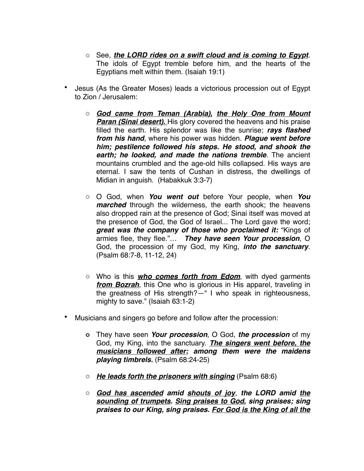- o See, *the LORD rides on a swift cloud and is coming to Egypt*. The idols of Egypt tremble before him, and the hearts of the Egyptians melt within them. (Isaiah 19:1)
- Jesus (As the Greater Moses) leads a victorious procession out of Egypt to Zion / Jerusalem:
	- o *God came from Teman (Arabia), the Holy One from Mount Paran (Sinai desert).* His glory covered the heavens and his praise filled the earth. His splendor was like the sunrise; *rays flashed from his hand*, where his power was hidden. *Plague went before him; pestilence followed his steps. He stood, and shook the earth; he looked, and made the nations tremble*. The ancient mountains crumbled and the age-old hills collapsed. His ways are eternal. I saw the tents of Cushan in distress, the dwellings of Midian in anguish. (Habakkuk 3:3-7)
	- o O God, when *You went out* before Your people, when *You marched* through the wilderness, the earth shook; the heavens also dropped rain at the presence of God; Sinai itself was moved at the presence of God, the God of Israel... The Lord gave the word; *great was the company of those who proclaimed it:* "Kings of armies flee, they flee."… *They have seen Your procession*, O God, the procession of my God, my King, *into the sanctuary*. (Psalm 68:7-8, 11-12, 24)
	- o Who is this *who comes forth from Edom*, with dyed garments *from Bozrah*, this One who is glorious in His apparel, traveling in the greatness of His strength?—" I who speak in righteousness, mighty to save." (Isaiah 63:1-2)
- Musicians and singers go before and follow after the procession:
	- **o** They have seen *Your procession*, O God, *the procession* of my God, my King, into the sanctuary. *The singers went before, the musicians followed after; among them were the maidens playing timbrels.* (Psalm 68:24-25)
	- o *He leads forth the prisoners with singing* (Psalm 68:6)
	- o *God has ascended amid shouts of joy*, *the LORD amid the sounding of trumpets. Sing praises to God, sing praises; sing praises to our King, sing praises. For God is the King of all the*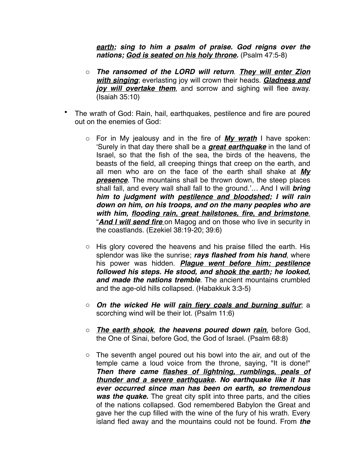*earth; sing to him a psalm of praise. God reigns over the nations; God is seated on his holy throne.* (Psalm 47:5-8)

- o *The ransomed of the LORD will return*. *They will enter Zion with singing*; everlasting joy will crown their heads. *Gladness and joy will overtake them*, and sorrow and sighing will flee away. (Isaiah 35:10)
- The wrath of God: Rain, hail, earthquakes, pestilence and fire are poured out on the enemies of God:
	- o For in My jealousy and in the fire of *My wrath* I have spoken: 'Surely in that day there shall be a *great earthquake* in the land of Israel, so that the fish of the sea, the birds of the heavens, the beasts of the field, all creeping things that creep on the earth, and all men who are on the face of the earth shall shake at *My presence*. The mountains shall be thrown down, the steep places shall fall, and every wall shall fall to the ground.'… And I will *bring him to judgment with pestilence and bloodshed; I will rain down on him, on his troops, and on the many peoples who are with him, flooding rain, great hailstones, fire, and brimstone*. "*And I will send fire* on Magog and on those who live in security in the coastlands. (Ezekiel 38:19-20; 39:6)
	- o His glory covered the heavens and his praise filled the earth. His splendor was like the sunrise; *rays flashed from his hand*, where his power was hidden. *Plague went before him; pestilence followed his steps. He stood, and shook the earth; he looked, and made the nations tremble*. The ancient mountains crumbled and the age-old hills collapsed. (Habakkuk 3:3-5)
	- o *On the wicked He will rain fiery coals and burning sulfur*; a scorching wind will be their lot. (Psalm 11:6)
	- o *The earth shook*, *the heavens poured down rain*, before God, the One of Sinai, before God, the God of Israel. (Psalm 68:8)
	- $\circ$  The seventh angel poured out his bowl into the air, and out of the temple came a loud voice from the throne, saying, "It is done!" *Then there came flashes of lightning, rumblings, peals of thunder and a severe earthquake. No earthquake like it has ever occurred since man has been on earth, so tremendous was the quake.* The great city split into three parts, and the cities of the nations collapsed. God remembered Babylon the Great and gave her the cup filled with the wine of the fury of his wrath. Every island fled away and the mountains could not be found. From *the*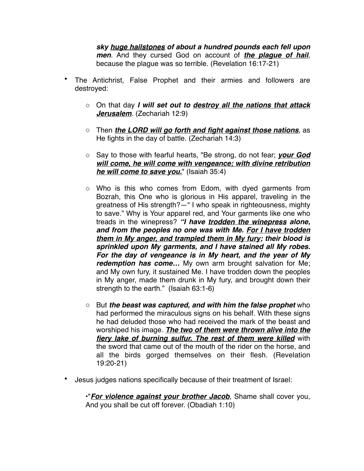*sky huge hailstones of about a hundred pounds each fell upon men*. And they cursed God on account of *the plague of hail*, because the plague was so terrible. (Revelation 16:17-21)

- The Antichrist, False Prophet and their armies and followers are destroyed:
	- o On that day *I will set out to destroy all the nations that attack Jerusalem.* (Zechariah 12:9)
	- o Then *the LORD will go forth and fight against those nations*, as He fights in the day of battle. (Zechariah 14:3)
	- o Say to those with fearful hearts, "Be strong, do not fear; *your God will come, he will come with vengeance; with divine retribution he will come to save you.*" (Isaiah 35:4)
	- o Who is this who comes from Edom, with dyed garments from Bozrah, this One who is glorious in His apparel, traveling in the greatness of His strength?—" I who speak in righteousness, mighty to save." Why is Your apparel red, and Your garments like one who treads in the winepress? *"I have trodden the winepress alone, and from the peoples no one was with Me. For I have trodden them in My anger, and trampled them in My fury; their blood is sprinkled upon My garments, and I have stained all My robes. For the day of vengeance is in My heart, and the year of My redemption has come…* My own arm brought salvation for Me; and My own fury, it sustained Me. I have trodden down the peoples in My anger, made them drunk in My fury, and brought down their strength to the earth." (Isaiah 63:1-6)
	- o But *the beast was captured, and with him the false prophet* who had performed the miraculous signs on his behalf. With these signs he had deluded those who had received the mark of the beast and worshiped his image. *The two of them were thrown alive into the fiery lake of burning sulfur. The rest of them were killed* with the sword that came out of the mouth of the rider on the horse, and all the birds gorged themselves on their flesh. (Revelation 19:20-21)
- Jesus judges nations specifically because of their treatment of Israel:

**•**"*For violence against your brother Jacob*, Shame shall cover you, And you shall be cut off forever. (Obadiah 1:10)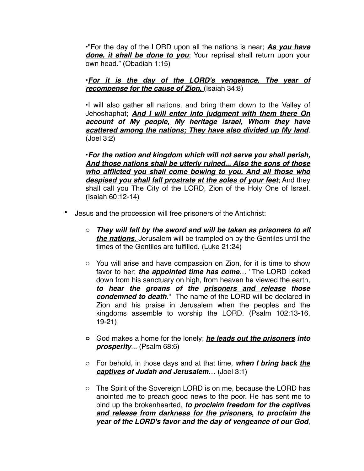**•**"For the day of the LORD upon all the nations is near; *As you have done, it shall be done to you*; Your reprisal shall return upon your own head." (Obadiah 1:15)

**•***For it is the day of the LORD's vengeance, The year of recompense for the cause of Zion.* (Isaiah 34:8)

**•**I will also gather all nations, and bring them down to the Valley of Jehoshaphat; *And I will enter into judgment with them there On account of My people, My heritage Israel, Whom they have scattered among the nations; They have also divided up My land*. (Joel 3:2)

**•***For the nation and kingdom which will not serve you shall perish, And those nations shall be utterly ruined... Also the sons of those who afflicted you shall come bowing to you, And all those who despised you shall fall prostrate at the soles of your feet*; And they shall call you The City of the LORD, Zion of the Holy One of Israel. (Isaiah 60:12-14)

- Jesus and the procession will free prisoners of the Antichrist:
	- o *They will fall by the sword and will be taken as prisoners to all the nations*. Jerusalem will be trampled on by the Gentiles until the times of the Gentiles are fulfilled. (Luke 21:24)
	- o You will arise and have compassion on Zion, for it is time to show favor to her; *the appointed time has come*… "The LORD looked down from his sanctuary on high, from heaven he viewed the earth, *to hear the groans of the prisoners and release those condemned to death*." The name of the LORD will be declared in Zion and his praise in Jerusalem when the peoples and the kingdoms assemble to worship the LORD. (Psalm 102:13-16, 19-21)
	- **o** God makes a home for the lonely; *he leads out the prisoners into prosperity*... (Psalm 68:6)
	- o For behold, in those days and at that time, *when I bring back the captives of Judah and Jerusalem*… (Joel 3:1)
	- o The Spirit of the Sovereign LORD is on me, because the LORD has anointed me to preach good news to the poor. He has sent me to bind up the brokenhearted, *to proclaim freedom for the captives and release from darkness for the prisoners***,** *to proclaim the year of the LORD's favor and the day of vengeance of our God*,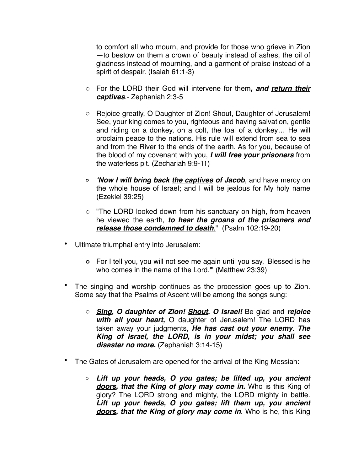to comfort all who mourn, and provide for those who grieve in Zion —to bestow on them a crown of beauty instead of ashes, the oil of gladness instead of mourning, and a garment of praise instead of a spirit of despair. (Isaiah 61:1-3)

- o For the LORD their God will intervene for them*, and return their captives*.- Zephaniah 2:3-5
- o Rejoice greatly, O Daughter of Zion! Shout, Daughter of Jerusalem! See, your king comes to you, righteous and having salvation, gentle and riding on a donkey, on a colt, the foal of a donkey… He will proclaim peace to the nations. His rule will extend from sea to sea and from the River to the ends of the earth. As for you, because of the blood of my covenant with you, *I will free your prisoners* from the waterless pit. (Zechariah 9:9-11)
- **o** *'Now I will bring back the captives of Jacob*, and have mercy on the whole house of Israel; and I will be jealous for My holy name (Ezekiel 39:25)
- o "The LORD looked down from his sanctuary on high, from heaven he viewed the earth, *to hear the groans of the prisoners and release those condemned to death*." (Psalm 102:19-20)
- Ultimate triumphal entry into Jerusalem:
	- **o** For I tell you, you will not see me again until you say, 'Blessed is he who comes in the name of the Lord.'" (Matthew 23:39)
- The singing and worship continues as the procession goes up to Zion. Some say that the Psalms of Ascent will be among the songs sung:
	- o *Sing, O daughter of Zion! Shout, O Israel!* Be glad and *rejoice with all your heart,* O daughter of Jerusalem! The LORD has taken away your judgments, *He has cast out your enemy*. *The King of Israel, the LORD, is in your midst; you shall see disaster no more.* (Zephaniah 3:14-15)
- The Gates of Jerusalem are opened for the arrival of the King Messiah:
	- o *Lift up your heads, O you gates; be lifted up, you ancient doors, that the King of glory may come in.* Who is this King of glory? The LORD strong and mighty, the LORD mighty in battle. *Lift up your heads, O you gates; lift them up, you ancient doors, that the King of glory may come in*. Who is he, this King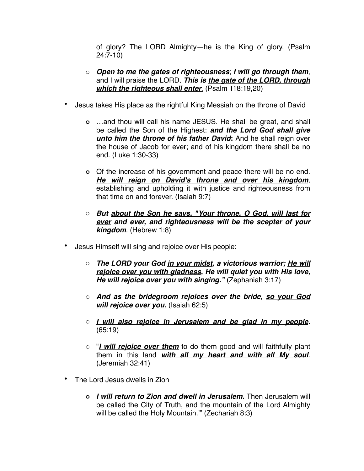of glory? The LORD Almighty—he is the King of glory. (Psalm 24:7-10)

- o *Open to me the gates of righteousness*; *I will go through them*, and I will praise the LORD. *This is the gate of the LORD, through which the righteous shall enter*. (Psalm 118:19,20)
- Jesus takes His place as the rightful King Messiah on the throne of David
	- **o** …and thou will call his name JESUS. He shall be great, and shall be called the Son of the Highest: *and the Lord God shall give*  **unto him the throne of his father David:** And he shall reign over the house of Jacob for ever; and of his kingdom there shall be no end. (Luke 1:30-33)
	- **o** Of the increase of his government and peace there will be no end. *He will reign on David's throne and over his kingdom*, establishing and upholding it with justice and righteousness from that time on and forever. (Isaiah 9:7)
	- o *But about the Son he says, "Your throne, O God, will last for ever and ever, and righteousness will be the scepter of your kingdom*. (Hebrew 1:8)
- Jesus Himself will sing and rejoice over His people:
	- o *The LORD your God in your midst, a victorious warrior; He will rejoice over you with gladness, He will quiet you with His love, He will rejoice over you with singing."* (Zephaniah 3:17)
	- o *And as the bridegroom rejoices over the bride, so your God will rejoice over you.* (Isaiah 62:5)
	- o *I will also rejoice in Jerusalem and be glad in my people.* (65:19)
	- o "*I will rejoice over them* to do them good and will faithfully plant them in this land *with all my heart and with all My soul*. (Jeremiah 32:41)
- The Lord Jesus dwells in Zion
	- **o** *I will return to Zion and dwell in Jerusalem***.** Then Jerusalem will be called the City of Truth, and the mountain of the Lord Almighty will be called the Holy Mountain.'" (Zechariah 8:3)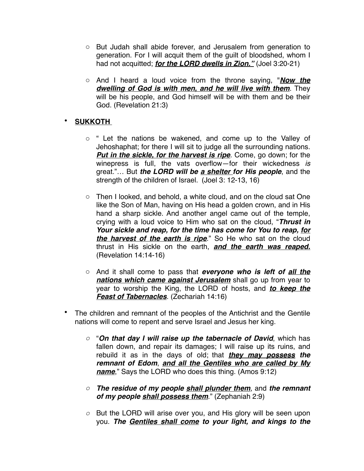- o But Judah shall abide forever, and Jerusalem from generation to generation. For I will acquit them of the guilt of bloodshed, whom I had not acquitted; *for the LORD dwells in Zion."* (Joel 3:20-21)
- o And I heard a loud voice from the throne saying, "*Now the dwelling of God is with men, and he will live with them*. They will be his people, and God himself will be with them and be their God. (Revelation 21:3)

# • **SUKKOTH**

- o " Let the nations be wakened, and come up to the Valley of Jehoshaphat; for there I will sit to judge all the surrounding nations. *Put in the sickle, for the harvest is ripe.* Come, go down; for the winepress is full, the vats overflow—for their wickedness *is* great."… But *the LORD will be a shelter for His people*, and the strength of the children of Israel. (Joel 3: 12-13, 16)
- o Then I looked, and behold, a white cloud, and on the cloud sat One like the Son of Man, having on His head a golden crown, and in His hand a sharp sickle. And another angel came out of the temple, crying with a loud voice to Him who sat on the cloud, "*Thrust in Your sickle and reap, for the time has come for You to reap, for the harvest of the earth is ripe*." So He who sat on the cloud thrust in His sickle on the earth, *and the earth was reaped.* (Revelation 14:14-16)
- o And it shall come to pass that *everyone who is left of all the nations which came against Jerusalem* shall go up from year to year to worship the King, the LORD of hosts, and *to keep the Feast of Tabernacles*. (Zechariah 14:16)
- The children and remnant of the peoples of the Antichrist and the Gentile nations will come to repent and serve Israel and Jesus her king.
	- *o* "*On that day I will raise up the tabernacle of David*, which has fallen down, and repair its damages; I will raise up its ruins, and rebuild it as in the days of old; that *they may possess the remnant of Edom*, *and all the Gentiles who are called by My name*," Says the LORD who does this thing. (Amos 9:12)
	- *o The residue of my people shall plunder them*, and *the remnant of my people shall possess them*." (Zephaniah 2:9)
	- *o* But the LORD will arise over you, and His glory will be seen upon you. *The Gentiles shall come to your light, and kings to the*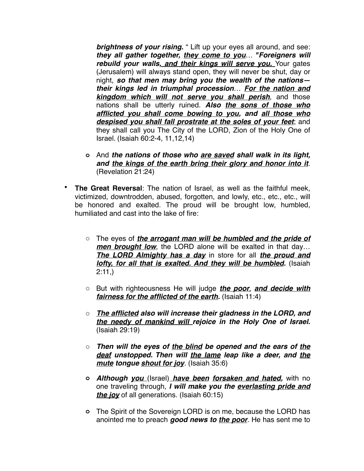*brightness of your rising.* " Lift up your eyes all around, and see: *they all gather together, they come to you*… *"Foreigners will rebuild your walls, and their kings will serve you.* Your gates (Jerusalem) will always stand open, they will never be shut, day or night, *so that men may bring you the wealth of the nations their kings led in triumphal procession*… *For the nation and kingdom which will not serve you shall perish*, and those nations shall be utterly ruined. *Also the sons of those who afflicted you shall come bowing to you, and all those who despised you shall fall prostrate at the soles of your feet*; and they shall call you The City of the LORD, Zion of the Holy One of Israel. (Isaiah 60:2-4, 11,12,14)

- **o** And *the nations of those who are saved shall walk in its light, and the kings of the earth bring their glory and honor into it*. (Revelation 21:24)
- **The Great Reversal**: The nation of Israel, as well as the faithful meek, victimized, downtrodden, abused, forgotten, and lowly, etc., etc., etc., will be honored and exalted. The proud will be brought low, humbled, humiliated and cast into the lake of fire:
	- o The eyes of *the arrogant man will be humbled and the pride of*  **men brought low**, the LORD alone will be exalted in that day... *The LORD Almighty has a day* in store for all *the proud and lofty, for all that is exalted. And they will be humbled.* (Isaiah 2:11,)
	- o But with righteousness He will judge *the poor*, *and decide with fairness for the afflicted of the earth.* (Isaiah 11:4)
	- o *The afflicted also will increase their gladness in the LORD, and the needy of mankind will rejoice in the Holy One of Israel.* (Isaiah 29:19)
	- o *Then will the eyes of the blind be opened and the ears of the deaf unstopped. Then will the lame leap like a deer, and the mute tongue shout for joy*. (Isaiah 35:6)
	- **o** *Although you* (Israel) *have been forsaken and hated,* with no one traveling through, *I will make you the everlasting pride and the joy* of all generations. (Isaiah 60:15)
	- **o** The Spirit of the Sovereign LORD is on me, because the LORD has anointed me to preach *good news to the poor*. He has sent me to